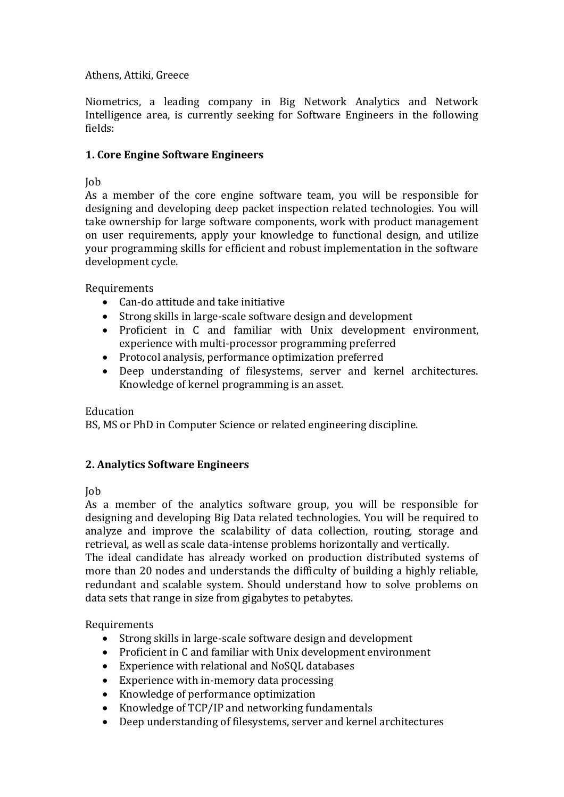### Athens, Attiki, Greece

Niometrics, a leading company in Big Network Analytics and Network Intelligence area, is currently seeking for Software Engineers in the following fields:

### **1. Core Engine Software Engineers**

## Job

As a member of the core engine software team, you will be responsible for designing and developing deep packet inspection related technologies. You will take ownership for large software components, work with product management on user requirements, apply your knowledge to functional design, and utilize your programming skills for efficient and robust implementation in the software development cycle.

Requirements

- Can-do attitude and take initiative
- Strong skills in large-scale software design and development
- Proficient in C and familiar with Unix development environment, experience with multi-processor programming preferred
- Protocol analysis, performance optimization preferred
- Deep understanding of filesystems, server and kernel architectures. Knowledge of kernel programming is an asset.

Education

BS, MS or PhD in Computer Science or related engineering discipline.

# **2. Analytics Software Engineers**

Job

As a member of the analytics software group, you will be responsible for designing and developing Big Data related technologies. You will be required to analyze and improve the scalability of data collection, routing, storage and retrieval, as well as scale data-intense problems horizontally and vertically.

The ideal candidate has already worked on production distributed systems of more than 20 nodes and understands the difficulty of building a highly reliable, redundant and scalable system. Should understand how to solve problems on data sets that range in size from gigabytes to petabytes.

Requirements

- Strong skills in large-scale software design and development
- Proficient in C and familiar with Unix development environment
- Experience with relational and NoSQL databases
- Experience with in-memory data processing
- Knowledge of performance optimization
- Knowledge of TCP/IP and networking fundamentals
- Deep understanding of filesystems, server and kernel architectures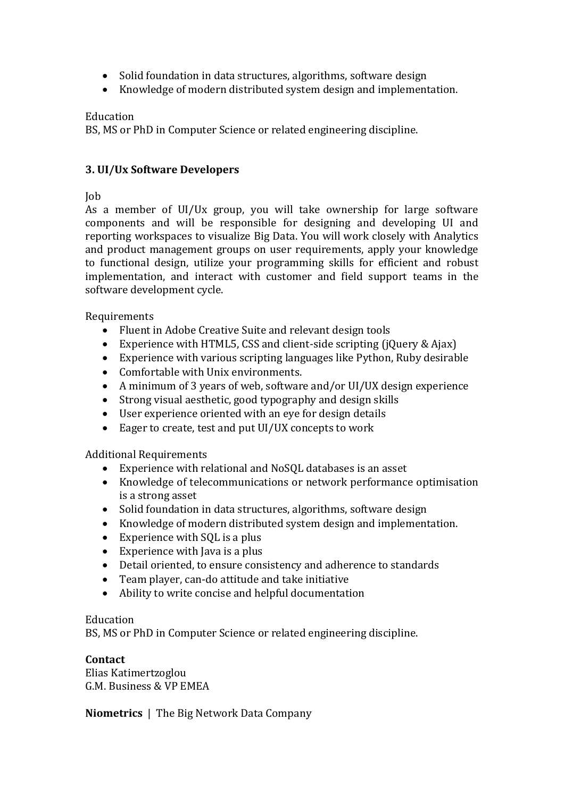- Solid foundation in data structures, algorithms, software design
- Knowledge of modern distributed system design and implementation.

### Education

BS, MS or PhD in Computer Science or related engineering discipline.

## **3. UI/Ux Software Developers**

### Job

As a member of UI/Ux group, you will take ownership for large software components and will be responsible for designing and developing UI and reporting workspaces to visualize Big Data. You will work closely with Analytics and product management groups on user requirements, apply your knowledge to functional design, utilize your programming skills for efficient and robust implementation, and interact with customer and field support teams in the software development cycle.

Requirements

- Fluent in Adobe Creative Suite and relevant design tools
- Experience with HTML5, CSS and client-side scripting (jQuery & Ajax)
- Experience with various scripting languages like Python, Ruby desirable
- Comfortable with Unix environments.
- A minimum of 3 years of web, software and/or UI/UX design experience
- Strong visual aesthetic, good typography and design skills
- User experience oriented with an eye for design details
- Eager to create, test and put UI/UX concepts to work

Additional Requirements

- Experience with relational and NoSQL databases is an asset
- Knowledge of telecommunications or network performance optimisation is a strong asset
- Solid foundation in data structures, algorithms, software design
- Knowledge of modern distributed system design and implementation.
- Experience with SQL is a plus
- Experience with Java is a plus
- Detail oriented, to ensure consistency and adherence to standards
- Team player, can-do attitude and take initiative
- Ability to write concise and helpful documentation

Education

BS, MS or PhD in Computer Science or related engineering discipline.

#### **Contact**

Elias Katimertzoglou G.M. Business & VP EMEA

**Niometrics** | The Big Network Data Company